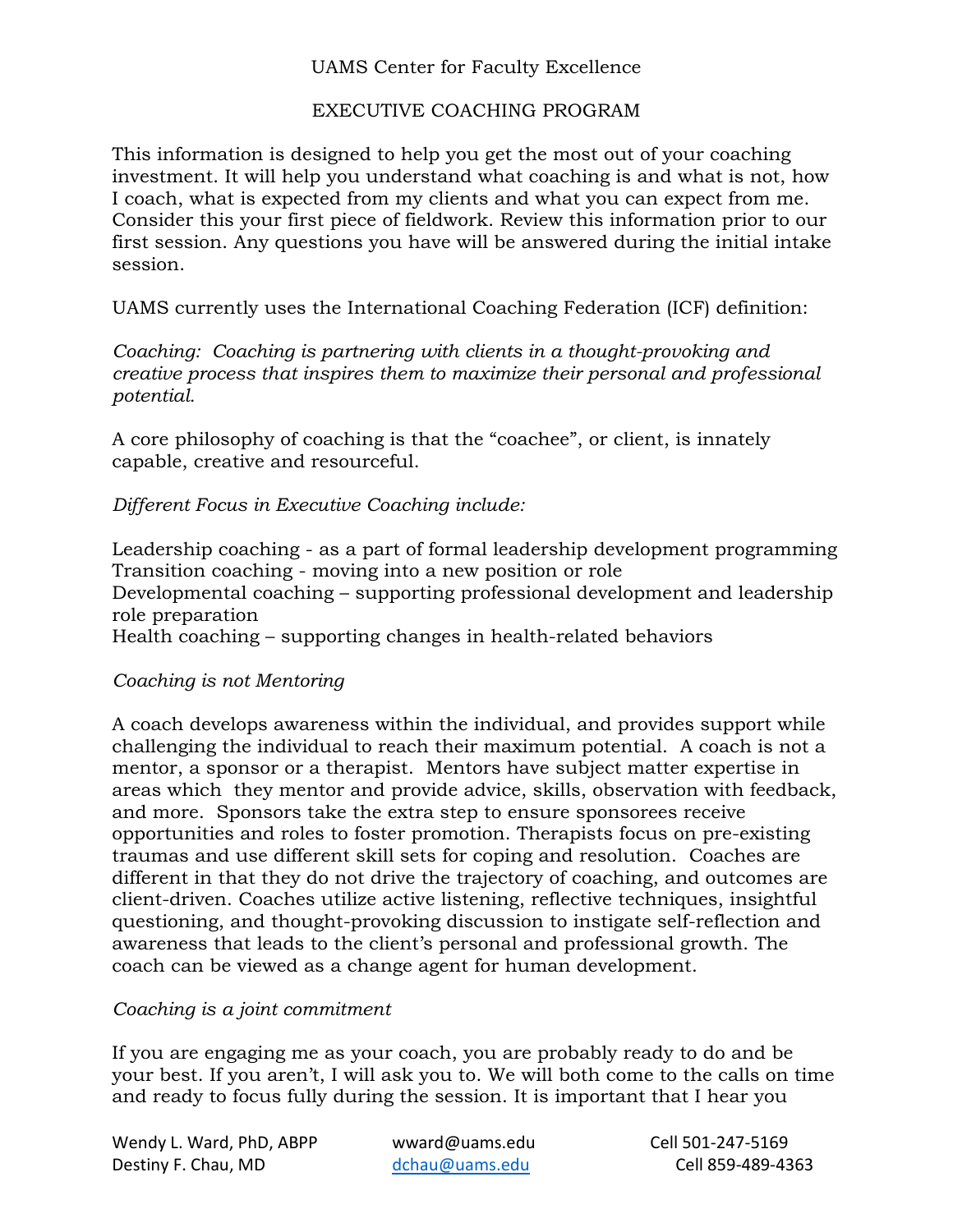### EXECUTIVE COACHING PROGRAM

This information is designed to help you get the most out of your coaching investment. It will help you understand what coaching is and what is not, how I coach, what is expected from my clients and what you can expect from me. Consider this your first piece of fieldwork. Review this information prior to our first session. Any questions you have will be answered during the initial intake session.

UAMS currently uses the International Coaching Federation (ICF) definition:

*Coaching: Coaching is partnering with clients in a thought-provoking and creative process that inspires them to maximize their personal and professional potential.*

A core philosophy of coaching is that the "coachee", or client, is innately capable, creative and resourceful.

*Different Focus in Executive Coaching include:*

Leadership coaching - as a part of formal leadership development programming Transition coaching - moving into a new position or role Developmental coaching – supporting professional development and leadership role preparation Health coaching – supporting changes in health-related behaviors

## *Coaching is not Mentoring*

A coach develops awareness within the individual, and provides support while challenging the individual to reach their maximum potential. A coach is not a mentor, a sponsor or a therapist. Mentors have subject matter expertise in areas which they mentor and provide advice, skills, observation with feedback, and more. Sponsors take the extra step to ensure sponsorees receive opportunities and roles to foster promotion. Therapists focus on pre-existing traumas and use different skill sets for coping and resolution. Coaches are different in that they do not drive the trajectory of coaching, and outcomes are client-driven. Coaches utilize active listening, reflective techniques, insightful questioning, and thought-provoking discussion to instigate self-reflection and awareness that leads to the client's personal and professional growth. The coach can be viewed as a change agent for human development.

## *Coaching is a joint commitment*

If you are engaging me as your coach, you are probably ready to do and be your best. If you aren't, I will ask you to. We will both come to the calls on time and ready to focus fully during the session. It is important that I hear you

Wendy L. Ward, PhD, ABPP wward@uams.edu Cell 501-247-5169 Destiny F. Chau, MD [dchau@uams.edu](mailto:dchau@uams.edu) Cell 859-489-4363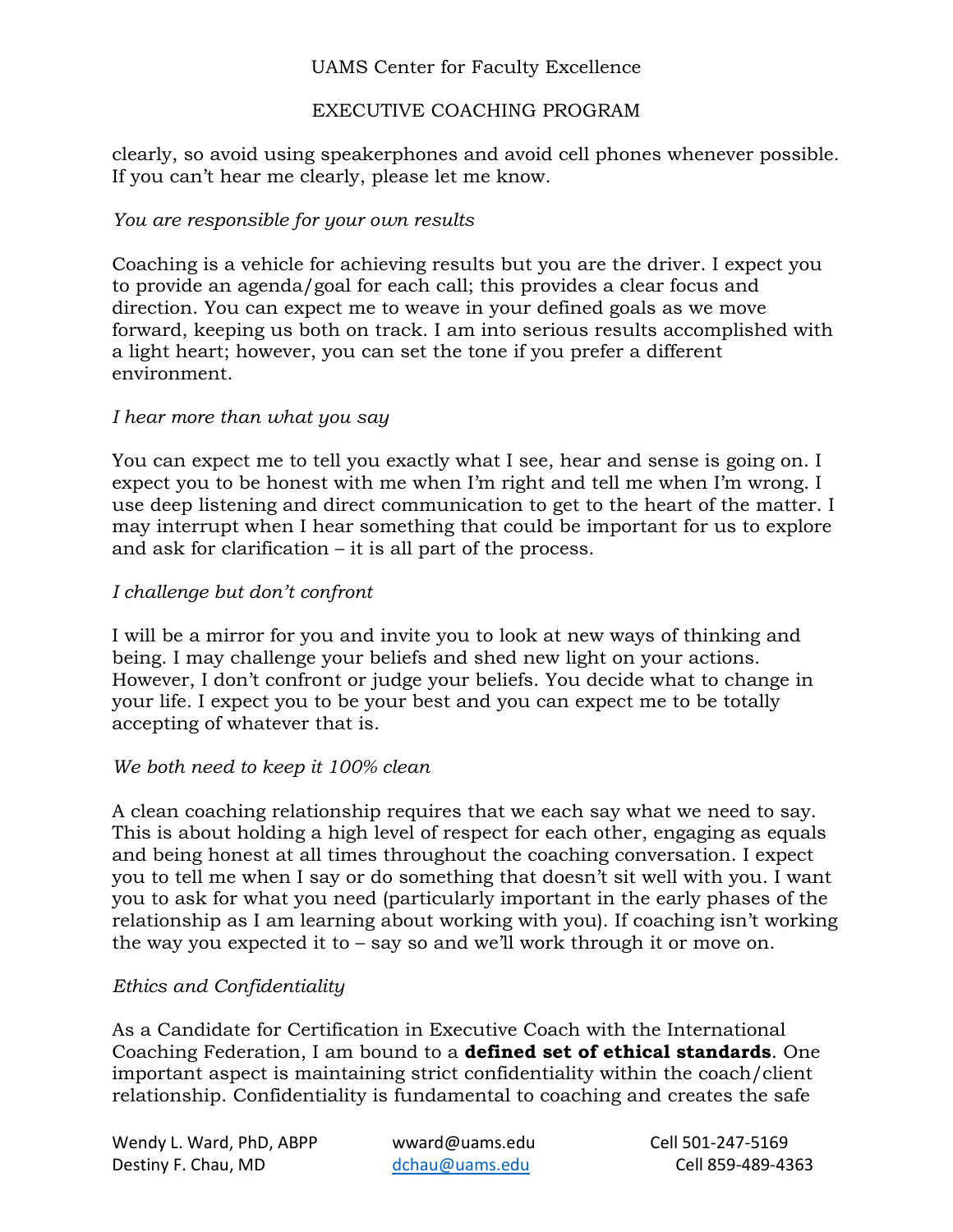## EXECUTIVE COACHING PROGRAM

clearly, so avoid using speakerphones and avoid cell phones whenever possible. If you can't hear me clearly, please let me know.

# *You are responsible for your own results*

Coaching is a vehicle for achieving results but you are the driver. I expect you to provide an agenda/goal for each call; this provides a clear focus and direction. You can expect me to weave in your defined goals as we move forward, keeping us both on track. I am into serious results accomplished with a light heart; however, you can set the tone if you prefer a different environment.

## *I hear more than what you say*

You can expect me to tell you exactly what I see, hear and sense is going on. I expect you to be honest with me when I'm right and tell me when I'm wrong. I use deep listening and direct communication to get to the heart of the matter. I may interrupt when I hear something that could be important for us to explore and ask for clarification – it is all part of the process.

# *I challenge but don't confront*

I will be a mirror for you and invite you to look at new ways of thinking and being. I may challenge your beliefs and shed new light on your actions. However, I don't confront or judge your beliefs. You decide what to change in your life. I expect you to be your best and you can expect me to be totally accepting of whatever that is.

## *We both need to keep it 100% clean*

A clean coaching relationship requires that we each say what we need to say. This is about holding a high level of respect for each other, engaging as equals and being honest at all times throughout the coaching conversation. I expect you to tell me when I say or do something that doesn't sit well with you. I want you to ask for what you need (particularly important in the early phases of the relationship as I am learning about working with you). If coaching isn't working the way you expected it to – say so and we'll work through it or move on.

# *Ethics and Confidentiality*

As a Candidate for Certification in Executive Coach with the International Coaching Federation, I am bound to a **defined set of ethical standards**. One important aspect is maintaining strict confidentiality within the coach/client relationship. Confidentiality is fundamental to coaching and creates the safe

Wendy L. Ward, PhD, ABPP wward@uams.edu Cell 501-247-5169 Destiny F. Chau, MD [dchau@uams.edu](mailto:dchau@uams.edu) Cell 859-489-4363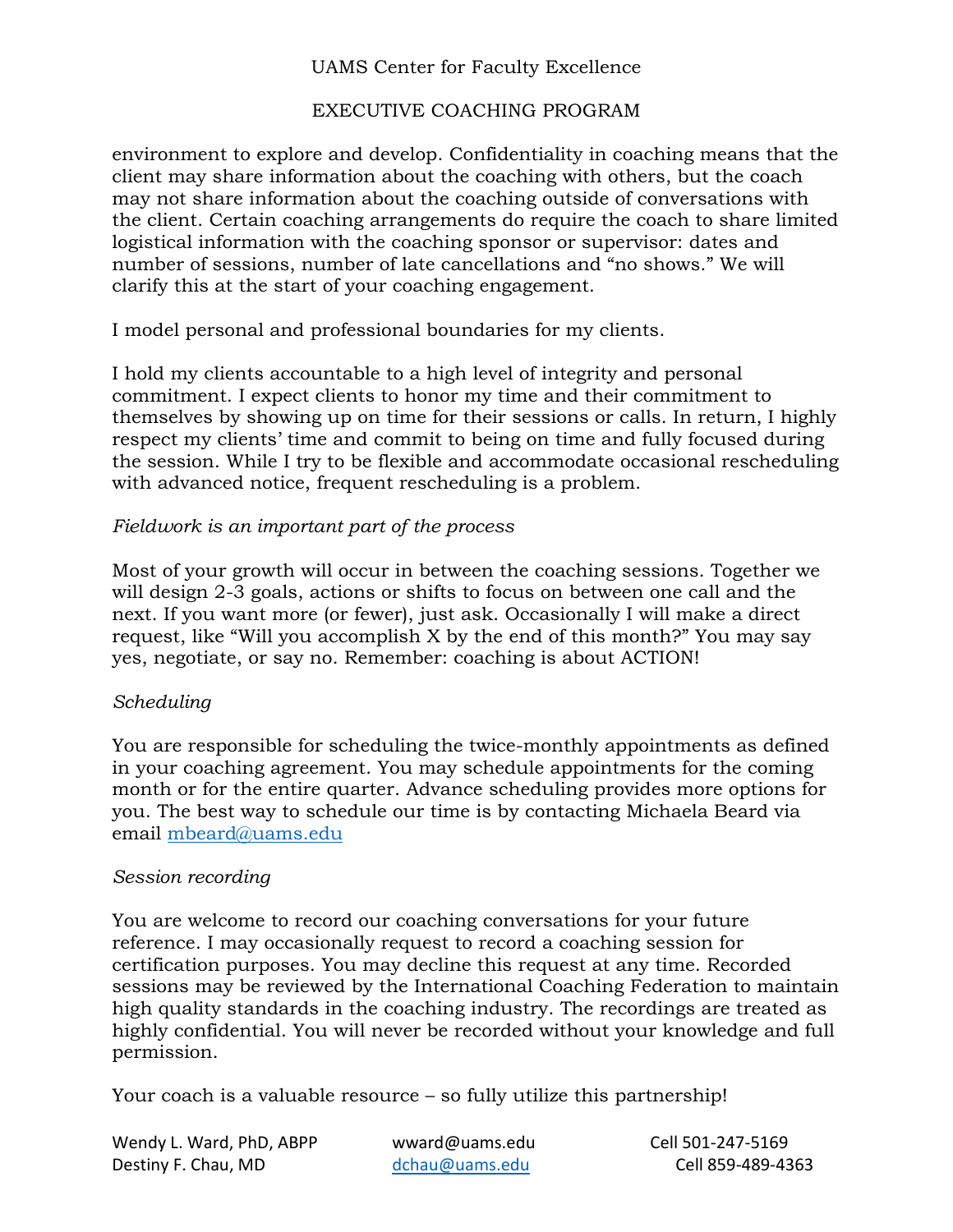# EXECUTIVE COACHING PROGRAM

environment to explore and develop. Confidentiality in coaching means that the client may share information about the coaching with others, but the coach may not share information about the coaching outside of conversations with the client. Certain coaching arrangements do require the coach to share limited logistical information with the coaching sponsor or supervisor: dates and number of sessions, number of late cancellations and "no shows." We will clarify this at the start of your coaching engagement.

I model personal and professional boundaries for my clients.

I hold my clients accountable to a high level of integrity and personal commitment. I expect clients to honor my time and their commitment to themselves by showing up on time for their sessions or calls. In return, I highly respect my clients' time and commit to being on time and fully focused during the session. While I try to be flexible and accommodate occasional rescheduling with advanced notice, frequent rescheduling is a problem.

## *Fieldwork is an important part of the process*

Most of your growth will occur in between the coaching sessions. Together we will design 2-3 goals, actions or shifts to focus on between one call and the next. If you want more (or fewer), just ask. Occasionally I will make a direct request, like "Will you accomplish X by the end of this month?" You may say yes, negotiate, or say no. Remember: coaching is about ACTION!

## *Scheduling*

You are responsible for scheduling the twice-monthly appointments as defined in your coaching agreement. You may schedule appointments for the coming month or for the entire quarter. Advance scheduling provides more options for you. The best way to schedule our time is by contacting Michaela Beard via email [mbeard@uams.edu](mailto:mbeard@uams.edu)

#### *Session recording*

You are welcome to record our coaching conversations for your future reference. I may occasionally request to record a coaching session for certification purposes. You may decline this request at any time. Recorded sessions may be reviewed by the International Coaching Federation to maintain high quality standards in the coaching industry. The recordings are treated as highly confidential. You will never be recorded without your knowledge and full permission.

Your coach is a valuable resource – so fully utilize this partnership!

Wendy L. Ward, PhD, ABPP wward@uams.edu Cell 501-247-5169 Destiny F. Chau, MD [dchau@uams.edu](mailto:dchau@uams.edu) Cell 859-489-4363